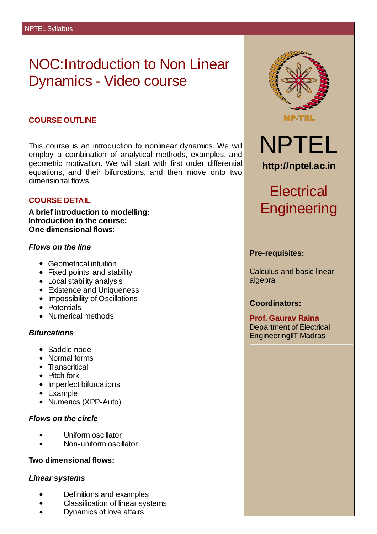## NOC:Introduction to Non Linear Dynamics - Video course

### **COURSE OUTLINE**

This course is an introduction to nonlinear dynamics. We will employ a combination of analytical methods, examples, and geometric motivation. We will start with first order differential equations, and their bifurcations, and then move onto two dimensional flows.

### **COURSE DETAIL**

**A brief introduction to modelling: Introduction to the course: One dimensional flows**:

### *Flows on the line*

- Geometrical intuition
- Fixed points, and stability
- Local stability analysis
- Existence and Uniqueness
- Impossibility of Oscillations
- Potentials
- Numerical methods

### *Bifurcations*

- Saddle node
- Normal forms
- **•** Transcritical
- Pitch fork
- Imperfect bifurcations
- Example
- Numerics (XPP-Auto)

### *Flows on the circle*

- Uniform oscillator
- Non-uniform oscillator

### **Two dimensional flows:**

### *Linear systems*

- Definitions and examples
- Classification of linear systems
- Dynamics of love affairs



NPTEL **http://nptel.ac.in**

# **Electrical Engineering**

### **Pre-requisites:**

Calculus and basic linear algebra

### **Coordinators:**

**Prof. Gaurav Raina** Department of Electrical EngineeringIIT Madras